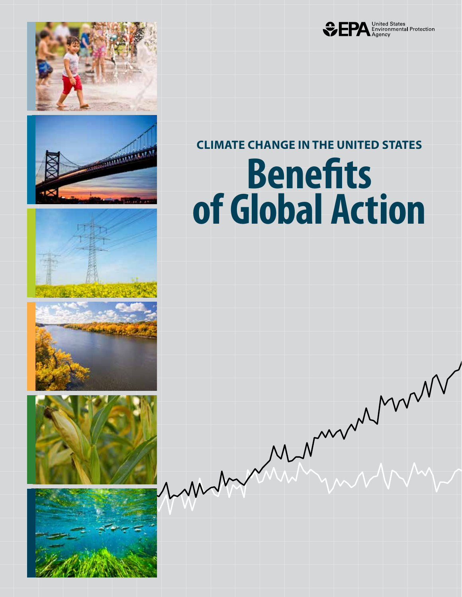













### **Benefits CLIMATE CHANGE IN THE UNITED STATES**

# **of Global Action**

Mermerhan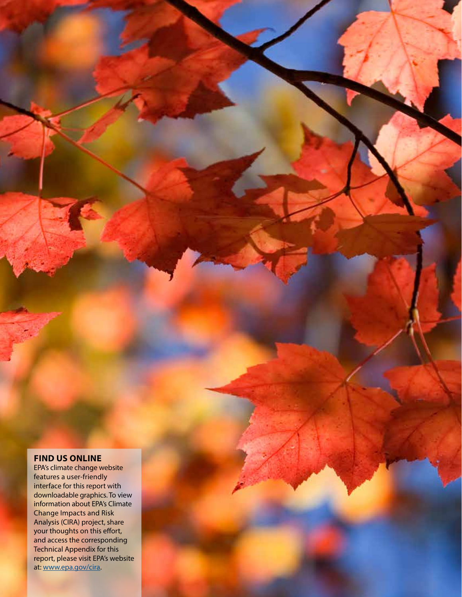### **FIND US ONLINE**

EPA's climate change website features a user-friendly interface for this report with downloadable graphics. To view information about EPA's Climate Change Impacts and Risk Analysis (CIRA) project, share your thoughts on this effort, and access the corresponding Technical Appendix for this report, please visit EPA's website at: [www.epa.gov/cira.](http://www.epa.gov/cira)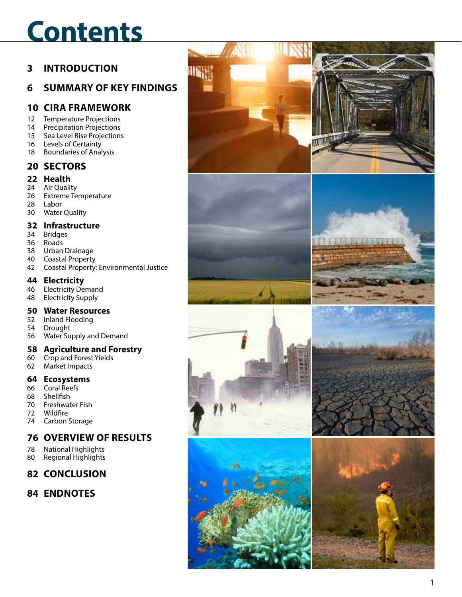## **Contents**

### **3 INTRODUCTION**

### **6 SUMMARY OF KEY FINDINGS**

### **10 CIRA FRAMEWORK**

- 12 Temperature Projections
- 14 Precipitation Projections
- 15 Sea Level Rise Projections
- 16 Levels of Certainty
- 18 Boundaries of Analysis

### **20 SECTORS**

### **22 Health**

- 24 Air Quality<br>26 Extreme Te
- **Extreme Temperature**
- 28 Labor
- 30 Water Quality

### **32 Infrastructure**

- 34 Bridges
- 36 Roads
- 38 Urban Drainage
- 40 Coastal Property
- 42 Coastal Property: Environmental Justice

### **44 Electricity**

- 46 Electricity Demand<br>48 Electricity Supply
- **Electricity Supply**

### **50 Water Resources**

- 52 Inland Flooding
- 54 Drought
- 56 Water Supply and Demand

### **58 Agriculture and Forestry**

- 60 Crop and Forest Yields
- 62 Market Impacts

### **64 Ecosystems**

- 66 Coral Reefs
- 68 Shellfish
- 70 Freshwater Fish
- 72 Wildfire
- 74 Carbon Storage

### **76 OVERVIEW OF RESULTS**

- 78 National Highlights
- 80 Regional Highlights

### **82 CONCLUSION**

**84 ENDNOTES**

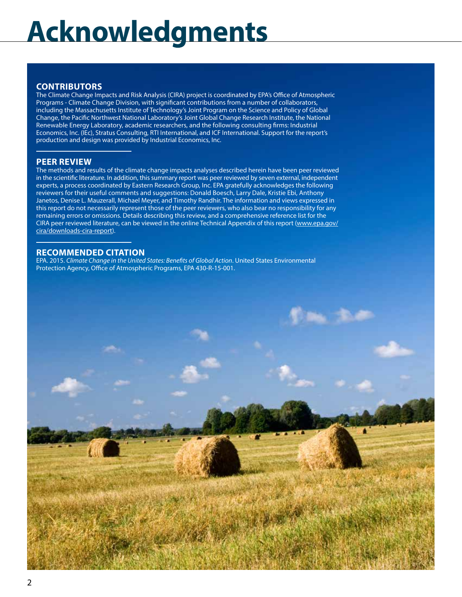## **Acknowledgments g**

#### **CONTRIBUTORS**

The Climate Change Impacts and Risk Analysis (CIRA) project is coordinated by EPA's Office of Atmospheric Programs - Climate Change Division, with significant contributions from a number of collaborators, including the Massachusetts Institute of Technology's Joint Program on the Science and Policy of Global Change, the Pacific Northwest National Laboratory's Joint Global Change Research Institute, the National Renewable Energy Laboratory, academic researchers, and the following consulting firms: Industrial Economics, Inc. (IEc), Stratus Consulting, RTI International, and ICF International. Support for the report's production and design was provided by Industrial Economics, Inc.

#### **PEER REVIEW**

The methods and results of the climate change impacts analyses described herein have been peer reviewed in the scientific literature. In addition, this summary report was peer reviewed by seven external, independent experts, a process coordinated by Eastern Research Group, Inc. EPA gratefully acknowledges the following reviewers for their useful comments and suggestions: Donald Boesch, Larry Dale, Kristie Ebi, Anthony Janetos, Denise L. Mauzerall, Michael Meyer, and Timothy Randhir. The information and views expressed in this report do not necessarily represent those of the peer reviewers, who also bear no responsibility for any remaining errors or omissions. Details describing this review, and a comprehensive reference list for the CIRA peer reviewed literature, can be viewed in the online Technical Appendix of this report ([www.epa.gov/](http://www.epa.gov/cira/downloads-cira-report) [cira/downloads-cira-report\)](http://www.epa.gov/cira/downloads-cira-report).

#### **RECOMMENDED CITATION**

EPA. 2015. *Climate Change in the United States: Benefits of Global Action*. United States Environmental Protection Agency, Office of Atmospheric Programs, EPA 430-R-15-001.

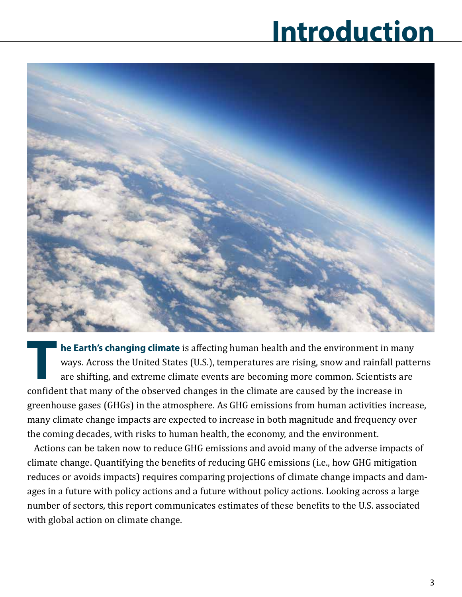## **Introduction**



**he Earth's changing climate** is affecting human health and the environment in many ways. Across the United States (U.S.), temperatures are rising, snow and rainfall patterns are shifting, and extreme climate events are becoming more common. Scientists are confident that many of the observed changes in the climate are caused by the increase in greenhouse gases (GHGs) in the atmosphere. As GHG emissions from human activities increase, many climate change impacts are expected to increase in both magnitude and frequency over the coming decades, with risks to human health, the economy, and the environment. **T** 

Actions can be taken now to reduce GHG emissions and avoid many of the adverse impacts of climate change. Quantifying the benefits of reducing GHG emissions (i.e., how GHG mitigation reduces or avoids impacts) requires comparing projections of climate change impacts and damages in a future with policy actions and a future without policy actions. Looking across a large number of sectors, this report communicates estimates of these benefits to the U.S. associated with global action on climate change.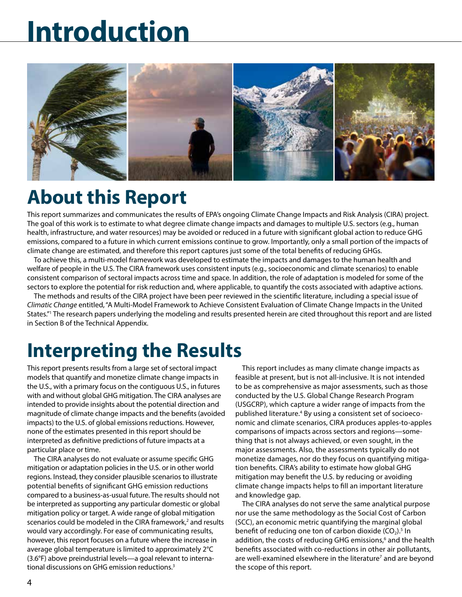## **Introduction**



### **About this Report**

This report summarizes and communicates the results of EPA's ongoing Climate Change Impacts and Risk Analysis (CIRA) project. The goal of this work is to estimate to what degree climate change impacts and damages to multiple U.S. sectors (e.g., human health, infrastructure, and water resources) may be avoided or reduced in a future with significant global action to reduce GHG emissions, compared to a future in which current emissions continue to grow. Importantly, only a small portion of the impacts of climate change are estimated, and therefore this report captures just some of the total benefits of reducing GHGs.

To achieve this, a multi-model framework was developed to estimate the impacts and damages to the human health and welfare of people in the U.S. The CIRA framework uses consistent inputs (e.g., socioeconomic and climate scenarios) to enable consistent comparison of sectoral impacts across time and space. In addition, the role of adaptation is modeled for some of the sectors to explore the potential for risk reduction and, where applicable, to quantify the costs associated with adaptive actions.

The methods and results of the CIRA project have been peer reviewed in the scientific literature, including a special issue of *Climatic Change* entitled, "A Multi-Model Framework to Achieve Consistent Evaluation of Climate Change Impacts in the United States."1 The research papers underlying the modeling and results presented herein are cited throughout this report and are listed in Section B of the Technical Appendix.

### **Interpreting the Results**

This report presents results from a large set of sectoral impact models that quantify and monetize climate change impacts in the U.S., with a primary focus on the contiguous U.S., in futures with and without global GHG mitigation. The CIRA analyses are intended to provide insights about the potential direction and magnitude of climate change impacts and the benefits (avoided impacts) to the U.S. of global emissions reductions. However, none of the estimates presented in this report should be interpreted as definitive predictions of future impacts at a particular place or time.

The CIRA analyses do not evaluate or assume specific GHG mitigation or adaptation policies in the U.S. or in other world regions. Instead, they consider plausible scenarios to illustrate potential benefits of significant GHG emission reductions compared to a business-as-usual future. The results should not be interpreted as supporting any particular domestic or global mitigation policy or target. A wide range of global mitigation scenarios could be modeled in the CIRA framework,<sup>2</sup> and results would vary accordingly. For ease of communicating results, however, this report focuses on a future where the increase in average global temperature is limited to approximately 2°C (3.6°F) above preindustrial levels—a goal relevant to international discussions on GHG emission reductions.<sup>3</sup>

This report includes as many climate change impacts as feasible at present, but is not all-inclusive. It is not intended to be as comprehensive as major assessments, such as those conducted by the U.S. Global Change Research Program (USGCRP), which capture a wider range of impacts from the published literature.<sup>4</sup> By using a consistent set of socioeconomic and climate scenarios, CIRA produces apples-to-apples comparisons of impacts across sectors and regions—something that is not always achieved, or even sought, in the major assessments. Also, the assessments typically do not monetize damages, nor do they focus on quantifying mitigation benefits. CIRA's ability to estimate how global GHG mitigation may benefit the U.S. by reducing or avoiding climate change impacts helps to fill an important literature and knowledge gap.

The CIRA analyses do not serve the same analytical purpose nor use the same methodology as the Social Cost of Carbon (SCC), an economic metric quantifying the marginal global benefit of reducing one ton of carbon dioxide  $(CO_2)$ .<sup>5</sup> In addition, the costs of reducing GHG emissions,<sup>6</sup> and the health benefits associated with co-reductions in other air pollutants, are well-examined elsewhere in the literature<sup>7</sup> and are beyond the scope of this report.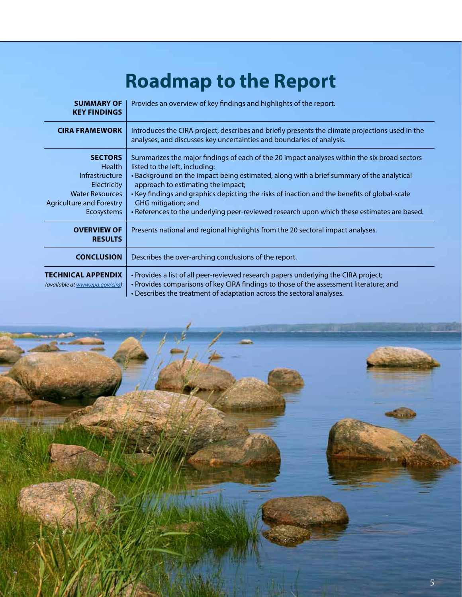### **Roadmap to the Report**

| <b>SUMMARY OF</b><br><b>KEY FINDINGS</b>                                                                                                           | Provides an overview of key findings and highlights of the report.                                                                                                                                                                                                                                                                                                                                                                                                                     |
|----------------------------------------------------------------------------------------------------------------------------------------------------|----------------------------------------------------------------------------------------------------------------------------------------------------------------------------------------------------------------------------------------------------------------------------------------------------------------------------------------------------------------------------------------------------------------------------------------------------------------------------------------|
| <b>CIRA FRAMEWORK</b>                                                                                                                              | Introduces the CIRA project, describes and briefly presents the climate projections used in the<br>analyses, and discusses key uncertainties and boundaries of analysis.                                                                                                                                                                                                                                                                                                               |
| <b>SECTORS</b><br><b>Health</b><br>Infrastructure<br><b>Electricity</b><br><b>Water Resources</b><br><b>Agriculture and Forestry</b><br>Ecosystems | Summarizes the major findings of each of the 20 impact analyses within the six broad sectors<br>listed to the left, including:<br>• Background on the impact being estimated, along with a brief summary of the analytical<br>approach to estimating the impact;<br>• Key findings and graphics depicting the risks of inaction and the benefits of global-scale<br>GHG mitigation; and<br>• References to the underlying peer-reviewed research upon which these estimates are based. |
| <b>OVERVIEW OF</b><br><b>RESULTS</b>                                                                                                               | Presents national and regional highlights from the 20 sectoral impact analyses.                                                                                                                                                                                                                                                                                                                                                                                                        |
| <b>CONCLUSION</b>                                                                                                                                  | Describes the over-arching conclusions of the report.                                                                                                                                                                                                                                                                                                                                                                                                                                  |
| <b>TECHNICAL APPENDIX</b><br>(available at www.epa.gov/cira)                                                                                       | . Provides a list of all peer-reviewed research papers underlying the CIRA project;<br>• Provides comparisons of key CIRA findings to those of the assessment literature; and<br>. Describes the treatment of adaptation across the sectoral analyses.                                                                                                                                                                                                                                 |

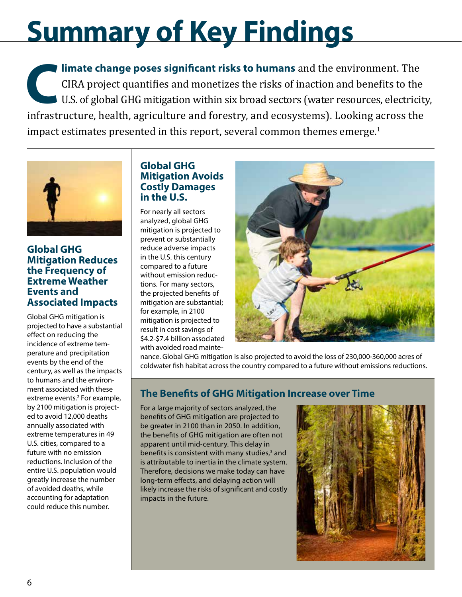## **Summary of Key Findings**

**limate change poses significant risks to humans** and the environment. The CIRA project quantifies and monetizes the risks of inaction and benefits to the U.S. of global GHG mitigation within six broad sectors (water resources, electricity, infrastructure, health, agriculture and forestry, and ecosystems). Looking across the impact estimates presented in this report, several common themes emerge.<sup>1</sup> **C**



### **Global GHG Mitigation Reduces the Frequency of Extreme Weather Events and Associated Impacts**

Global GHG mitigation is projected to have a substantial effect on reducing the incidence of extreme temperature and precipitation events by the end of the century, as well as the impacts to humans and the environment associated with these extreme events.<sup>2</sup> For example, by 2100 mitigation is projected to avoid 12,000 deaths annually associated with extreme temperatures in 49 U.S. cities, compared to a future with no emission reductions. Inclusion of the entire U.S. population would greatly increase the number of avoided deaths, while accounting for adaptation could reduce this number.

### **Global GHG Mitigation Avoids Costly Damages in the U.S.**

For nearly all sectors analyzed, global GHG mitigation is projected to prevent or substantially reduce adverse impacts in the U.S. this century compared to a future without emission reductions. For many sectors, the projected benefits of mitigation are substantial; for example, in 2100 mitigation is projected to result in cost savings of \$4.2-\$7.4 billion associated with avoided road mainte-



nance. Global GHG mitigation is also projected to avoid the loss of 230,000-360,000 acres of coldwater fish habitat across the country compared to a future without emissions reductions.

### **The Benefits of GHG Mitigation Increase over Time**

For a large majority of sectors analyzed, the benefits of GHG mitigation are projected to be greater in 2100 than in 2050. In addition, the benefits of GHG mitigation are often not apparent until mid-century. This delay in benefits is consistent with many studies,<sup>3</sup> and is attributable to inertia in the climate system. Therefore, decisions we make today can have long-term effects, and delaying action will likely increase the risks of significant and costly impacts in the future.

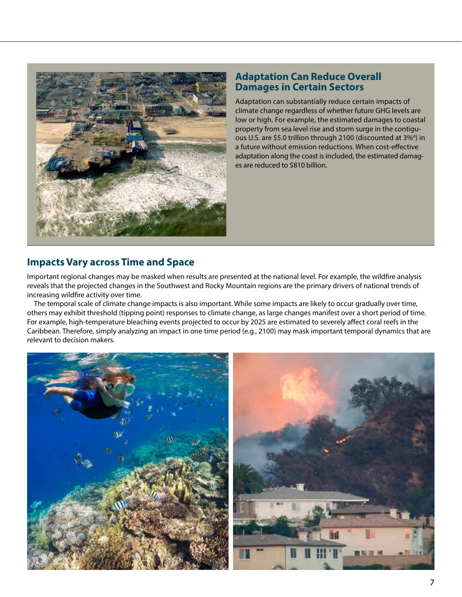

### **Adaptation Can Reduce Overall Damages in Certain Sectors**

Adaptation can substantially reduce certain impacts of climate change regardless of whether future GHG levels are low or high. For example, the estimated damages to coastal property from sea level rise and storm surge in the contiguous U.S. are \$5.0 trillion through 2100 (discounted at 3%<sup>4</sup>) in a future without emission reductions. When cost-effective adaptation along the coast is included, the estimated damages are reduced to \$810 billion.

### **Impacts Vary across Time and Space**

Important regional changes may be masked when results are presented at the national level. For example, the wildfire analysis reveals that the projected changes in the Southwest and Rocky Mountain regions are the primary drivers of national trends of increasing wildfire activity over time.

The temporal scale of climate change impacts is also important. While some impacts are likely to occur gradually over time, others may exhibit threshold (tipping point) responses to climate change, as large changes manifest over a short period of time. For example, high-temperature bleaching events projected to occur by 2025 are estimated to severely affect coral reefs in the Caribbean. Therefore, simply analyzing an impact in one time period (e.g., 2100) may mask important temporal dynamics that are relevant to decision makers.

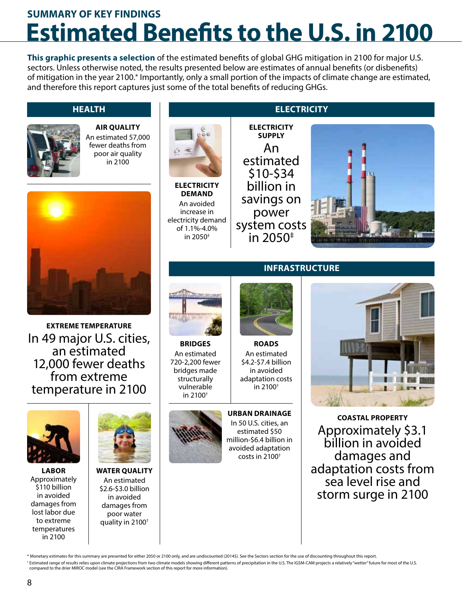### **Estimated Benefits to the U.S. in 2100 SUMMARY OF KEY FINDINGS**

**This graphic presents a selection** of the estimated benefits of global GHG mitigation in 2100 for major U.S. sectors. Unless otherwise noted, the results presented below are estimates of annual benefits (or disbenefits) of mitigation in the year 2100.\* Importantly, only a small portion of the impacts of climate change are estimated, and therefore this report captures just some of the total benefits of reducing GHGs.

### **HEALTH**



**AIR QUALITY** An estimated 57,000 fewer deaths from poor air quality in 2100



**EXTREME TEMPERATURE** In 49 major U.S. cities, an estimated 12,000 fewer deaths from extreme temperature in 2100



**LABOR**  Approximately \$110 billion in avoided damages from lost labor due to extreme temperatures in 2100



**WATER QUALITY** An estimated \$2.6-\$3.0 billion in avoided damages from poor water quality in 2100†



**ELECTRICITY DEMAND** An avoided increase in electricity demand of 1.1%-4.0% in 2050‡

### **ELECTRICITY**

**ELECTRICITY SUPPLY** An estimated \$10-\$34 billion in savings on power system costs in 2050‡



### **INFRASTRUCTURE**



**BRIDGES** An estimated 720-2,200 fewer bridges made structurally vulnerable in 2100†



### **ROADS** An estimated

\$4.2-\$7.4 billion in avoided adaptation costs in 2100†

**URBAN DRAINAGE** In 50 U.S. cities, an estimated \$50 million-\$6.4 billion in avoided adaptation costs in 2100†



**COASTAL PROPERTY** Approximately \$3.1 billion in avoided damages and adaptation costs from sea level rise and storm surge in 2100

\* Monetary estimates for this summary are presented for either 2050 or 2100 only, and are undiscounted (2014\$). See the Sectors section for the use of discounting throughout this report.

† Estimated range of results relies upon climate projections from two climate models showing different patterns of precipitation in the U.S. The IGSM-CAM projects a relatively "wetter" future for most of the U.S. compared to the drier MIROC model (see the CIRA Framework section of this report for more information).